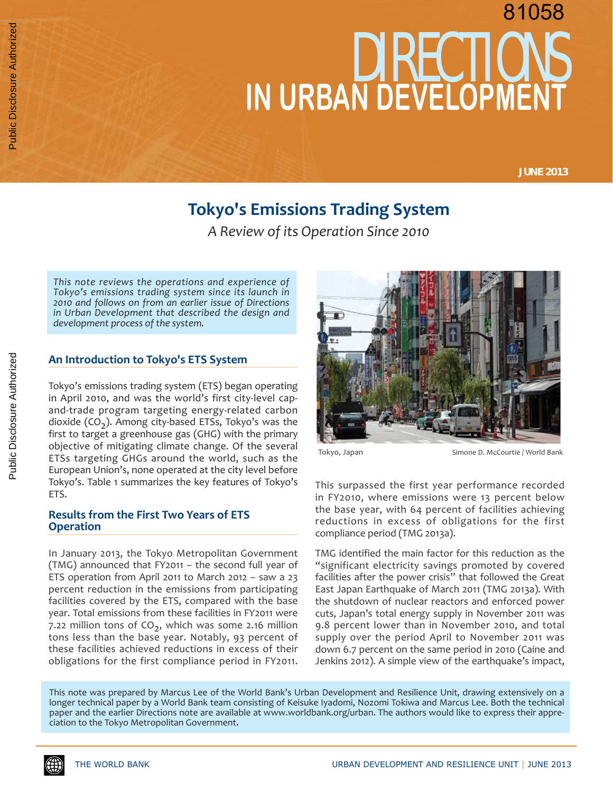# DIRECTIONS **IN URBAN DEVELOPMENT** 81058

**JUNE 2013**

# **Tokyo's Emissions Trading System**

*A Review of its Operation Since 2010*

*This note reviews the operations and experience of Tokyo's emissions trading system since its launch in 2010 and follows on from an earlier issue of Directions in Urban Development that described the design and development process of the system.* 

# **An Introduction to Tokyo's ETS System**

Tokyo's emissions trading system (ETS) began operating in April 2010, and was the world's first city-level capand-trade program targeting energy-related carbon dioxide  $(CO<sub>2</sub>)$ . Among city-based ETSs, Tokyo's was the first to target a greenhouse gas (GHG) with the primary objective of mitigating climate change. Of the several ETSs targeting GHGs around the world, such as the European Union's, none operated at the city level before Tokyo's. Table 1 summarizes the key features of Tokyo's ETS.

# **Results from the First Two Years of ETS Operation**

In January 2013, the Tokyo Metropolitan Government (TMG) announced that FY2011 – the second full year of ETS operation from April 2011 to March 2012 – saw a 23 percent reduction in the emissions from participating facilities covered by the ETS, compared with the base year. Total emissions from these facilities in FY2011 were 7.22 million tons of  $CO<sub>2</sub>$ , which was some 2.16 million tons less than the base year. Notably, 93 percent of these facilities achieved reductions in excess of their obligations for the first compliance period in FY2011.



Tokyo, Japan Simone D. McCourtie / World Bank

This surpassed the first year performance recorded in FY2010, where emissions were 13 percent below the base year, with 64 percent of facilities achieving reductions in excess of obligations for the first compliance period (TMG 2013a).

TMG identified the main factor for this reduction as the "significant electricity savings promoted by covered facilities after the power crisis" that followed the Great East Japan Earthquake of March 2011 (TMG 2013a). With the shutdown of nuclear reactors and enforced power cuts, Japan's total energy supply in November 2011 was 9.8 percent lower than in November 2010, and total supply over the period April to November 2011 was down 6.7 percent on the same period in 2010 (Caine and Jenkins 2012). A simple view of the earthquake's impact,

This note was prepared by Marcus Lee of the World Bank's Urban Development and Resilience Unit, drawing extensively on a longer technical paper by a World Bank team consisting of Keisuke Iyadomi, Nozomi Tokiwa and Marcus Lee. Both the technical paper and the earlier Directions note are available at www.worldbank.org/urban. The authors would like to express their appreciation to the Tokyo Metropolitan Government.

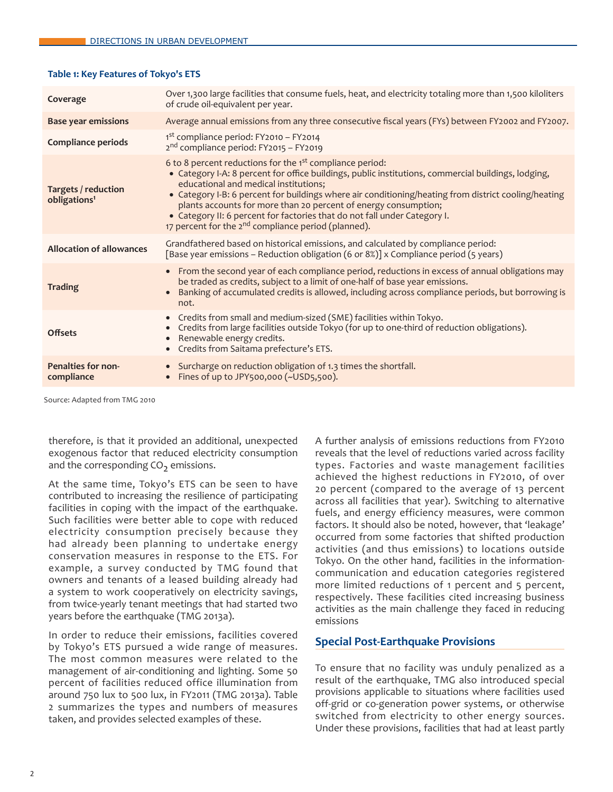## **Table 1: Key Features of Tokyo's ETS**

| Coverage                                        | Over 1,300 large facilities that consume fuels, heat, and electricity totaling more than 1,500 kiloliters<br>of crude oil-equivalent per year.                                                                                                                                                                                                                                                                                                                                                                                                  |
|-------------------------------------------------|-------------------------------------------------------------------------------------------------------------------------------------------------------------------------------------------------------------------------------------------------------------------------------------------------------------------------------------------------------------------------------------------------------------------------------------------------------------------------------------------------------------------------------------------------|
| <b>Base year emissions</b>                      | Average annual emissions from any three consecutive fiscal years (FYs) between FY2002 and FY2007.                                                                                                                                                                                                                                                                                                                                                                                                                                               |
| <b>Compliance periods</b>                       | 1st compliance period: FY2010 - FY2014<br>2 <sup>nd</sup> compliance period: FY2015 - FY2019                                                                                                                                                                                                                                                                                                                                                                                                                                                    |
| Targets / reduction<br>obligations <sup>1</sup> | 6 to 8 percent reductions for the 1 <sup>st</sup> compliance period:<br>• Category I-A: 8 percent for office buildings, public institutions, commercial buildings, lodging,<br>educational and medical institutions;<br>• Category I-B: 6 percent for buildings where air conditioning/heating from district cooling/heating<br>plants accounts for more than 20 percent of energy consumption;<br>• Category II: 6 percent for factories that do not fall under Category I.<br>17 percent for the 2 <sup>nd</sup> compliance period (planned). |
| <b>Allocation of allowances</b>                 | Grandfathered based on historical emissions, and calculated by compliance period:<br>[Base year emissions – Reduction obligation (6 or 8%)] x Compliance period (5 years)                                                                                                                                                                                                                                                                                                                                                                       |
| <b>Trading</b>                                  | From the second year of each compliance period, reductions in excess of annual obligations may<br>$\bullet$<br>be traded as credits, subject to a limit of one-half of base year emissions.<br>Banking of accumulated credits is allowed, including across compliance periods, but borrowing is<br>not.                                                                                                                                                                                                                                         |
| <b>Offsets</b>                                  | Credits from small and medium-sized (SME) facilities within Tokyo.<br>$\bullet$<br>Credits from large facilities outside Tokyo (for up to one-third of reduction obligations).<br>Renewable energy credits.<br>Credits from Saitama prefecture's ETS.<br>$\bullet$                                                                                                                                                                                                                                                                              |
| <b>Penalties for non-</b><br>compliance         | Surcharge on reduction obligation of 1.3 times the shortfall.<br>$\bullet$<br>• Fines of up to JPY500,000 (~USD5,500).                                                                                                                                                                                                                                                                                                                                                                                                                          |

Source: Adapted from TMG 2010

therefore, is that it provided an additional, unexpected exogenous factor that reduced electricity consumption and the corresponding  $CO<sub>2</sub>$  emissions.

At the same time, Tokyo's ETS can be seen to have contributed to increasing the resilience of participating facilities in coping with the impact of the earthquake. Such facilities were better able to cope with reduced electricity consumption precisely because they had already been planning to undertake energy conservation measures in response to the ETS. For example, a survey conducted by TMG found that owners and tenants of a leased building already had a system to work cooperatively on electricity savings, from twice-yearly tenant meetings that had started two years before the earthquake (TMG 2013a).

In order to reduce their emissions, facilities covered by Tokyo's ETS pursued a wide range of measures. The most common measures were related to the management of air-conditioning and lighting. Some 50 percent of facilities reduced office illumination from around 750 lux to 500 lux, in FY2011 (TMG 2013a). Table 2 summarizes the types and numbers of measures taken, and provides selected examples of these.

A further analysis of emissions reductions from FY2010 reveals that the level of reductions varied across facility types. Factories and waste management facilities achieved the highest reductions in FY2010, of over 20 percent (compared to the average of 13 percent across all facilities that year). Switching to alternative fuels, and energy efficiency measures, were common factors. It should also be noted, however, that 'leakage' occurred from some factories that shifted production activities (and thus emissions) to locations outside Tokyo. On the other hand, facilities in the informationcommunication and education categories registered more limited reductions of 1 percent and 5 percent, respectively. These facilities cited increasing business activities as the main challenge they faced in reducing emissions

# **Special Post-Earthquake Provisions**

To ensure that no facility was unduly penalized as a result of the earthquake, TMG also introduced special provisions applicable to situations where facilities used off-grid or co-generation power systems, or otherwise switched from electricity to other energy sources. Under these provisions, facilities that had at least partly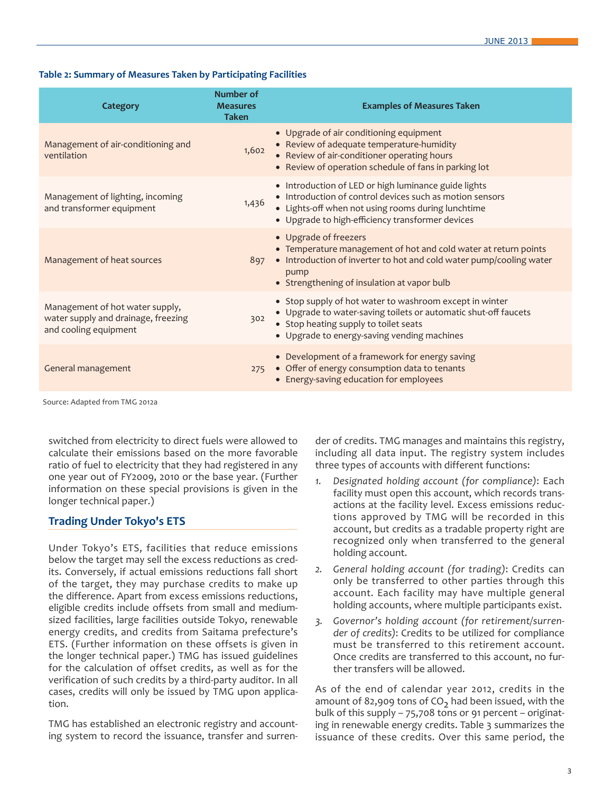# **Table 2: Summary of Measures Taken by Participating Facilities**

| Category                                                                                        | Number of<br><b>Measures</b><br><b>Taken</b> | <b>Examples of Measures Taken</b>                                                                                                                                                                                          |
|-------------------------------------------------------------------------------------------------|----------------------------------------------|----------------------------------------------------------------------------------------------------------------------------------------------------------------------------------------------------------------------------|
| Management of air-conditioning and<br>ventilation                                               | 1,602                                        | • Upgrade of air conditioning equipment<br>• Review of adequate temperature-humidity<br>• Review of air-conditioner operating hours<br>• Review of operation schedule of fans in parking lot                               |
| Management of lighting, incoming<br>and transformer equipment                                   | 1,436                                        | • Introduction of LED or high luminance guide lights<br>• Introduction of control devices such as motion sensors<br>• Lights-off when not using rooms during lunchtime<br>• Upgrade to high-efficiency transformer devices |
| Management of heat sources                                                                      | 897                                          | • Upgrade of freezers<br>• Temperature management of hot and cold water at return points<br>• Introduction of inverter to hot and cold water pump/cooling water<br>pump<br>• Strengthening of insulation at vapor bulb     |
| Management of hot water supply,<br>water supply and drainage, freezing<br>and cooling equipment | 302                                          | • Stop supply of hot water to washroom except in winter<br>• Upgrade to water-saving toilets or automatic shut-off faucets<br>• Stop heating supply to toilet seats<br>• Upgrade to energy-saving vending machines         |
| General management                                                                              | 275                                          | • Development of a framework for energy saving<br>• Offer of energy consumption data to tenants<br>• Energy-saving education for employees                                                                                 |

Source: Adapted from TMG 2012a

switched from electricity to direct fuels were allowed to calculate their emissions based on the more favorable ratio of fuel to electricity that they had registered in any one year out of FY2009, 2010 or the base year. (Further information on these special provisions is given in the longer technical paper.)

# **Trading Under Tokyo's ETS**

Under Tokyo's ETS, facilities that reduce emissions below the target may sell the excess reductions as credits. Conversely, if actual emissions reductions fall short of the target, they may purchase credits to make up the difference. Apart from excess emissions reductions, eligible credits include offsets from small and mediumsized facilities, large facilities outside Tokyo, renewable energy credits, and credits from Saitama prefecture's ETS. (Further information on these offsets is given in the longer technical paper.) TMG has issued guidelines for the calculation of offset credits, as well as for the verification of such credits by a third-party auditor. In all cases, credits will only be issued by TMG upon application.

TMG has established an electronic registry and accounting system to record the issuance, transfer and surrender of credits. TMG manages and maintains this registry, including all data input. The registry system includes three types of accounts with different functions:

- *1. Designated holding account (for compliance)*: Each facility must open this account, which records transactions at the facility level. Excess emissions reductions approved by TMG will be recorded in this account, but credits as a tradable property right are recognized only when transferred to the general holding account.
- *2. General holding account (for trading)*: Credits can only be transferred to other parties through this account. Each facility may have multiple general holding accounts, where multiple participants exist.
- *3. Governor's holding account (for retirement/surrender of credits)*: Credits to be utilized for compliance must be transferred to this retirement account. Once credits are transferred to this account, no further transfers will be allowed.

As of the end of calendar year 2012, credits in the amount of 82,909 tons of  $CO<sub>2</sub>$  had been issued, with the bulk of this supply – 75,708 tons or 91 percent – originating in renewable energy credits. Table 3 summarizes the issuance of these credits. Over this same period, the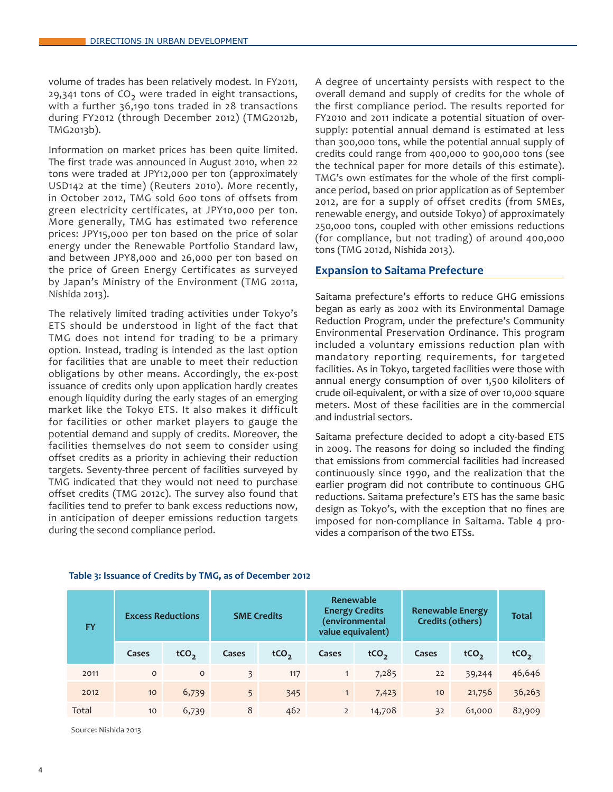volume of trades has been relatively modest. In FY2011, 29,341 tons of  $CO<sub>2</sub>$  were traded in eight transactions, with a further 36,190 tons traded in 28 transactions during FY2012 (through December 2012) (TMG2012b, TMG2013b).

Information on market prices has been quite limited. The first trade was announced in August 2010, when 22 tons were traded at JPY12,000 per ton (approximately USD142 at the time) (Reuters 2010). More recently, in October 2012, TMG sold 600 tons of offsets from green electricity certificates, at JPY10,000 per ton. More generally, TMG has estimated two reference prices: JPY15,000 per ton based on the price of solar energy under the Renewable Portfolio Standard law, and between JPY8,000 and 26,000 per ton based on the price of Green Energy Certificates as surveyed by Japan's Ministry of the Environment (TMG 2011a, Nishida 2013).

The relatively limited trading activities under Tokyo's ETS should be understood in light of the fact that TMG does not intend for trading to be a primary option. Instead, trading is intended as the last option for facilities that are unable to meet their reduction obligations by other means. Accordingly, the ex-post issuance of credits only upon application hardly creates enough liquidity during the early stages of an emerging market like the Tokyo ETS. It also makes it difficult for facilities or other market players to gauge the potential demand and supply of credits. Moreover, the facilities themselves do not seem to consider using offset credits as a priority in achieving their reduction targets. Seventy-three percent of facilities surveyed by TMG indicated that they would not need to purchase offset credits (TMG 2012c). The survey also found that facilities tend to prefer to bank excess reductions now, in anticipation of deeper emissions reduction targets during the second compliance period.

A degree of uncertainty persists with respect to the overall demand and supply of credits for the whole of the first compliance period. The results reported for FY2010 and 2011 indicate a potential situation of oversupply: potential annual demand is estimated at less than 300,000 tons, while the potential annual supply of credits could range from 400,000 to 900,000 tons (see the technical paper for more details of this estimate). TMG's own estimates for the whole of the first compliance period, based on prior application as of September 2012, are for a supply of offset credits (from SMEs, renewable energy, and outside Tokyo) of approximately 250,000 tons, coupled with other emissions reductions (for compliance, but not trading) of around 400,000 tons (TMG 2012d, Nishida 2013).

# **Expansion to Saitama Prefecture**

Saitama prefecture's efforts to reduce GHG emissions began as early as 2002 with its Environmental Damage Reduction Program, under the prefecture's Community Environmental Preservation Ordinance. This program included a voluntary emissions reduction plan with mandatory reporting requirements, for targeted facilities. As in Tokyo, targeted facilities were those with annual energy consumption of over 1,500 kiloliters of crude oil-equivalent, or with a size of over 10,000 square meters. Most of these facilities are in the commercial and industrial sectors.

Saitama prefecture decided to adopt a city-based ETS in 2009. The reasons for doing so included the finding that emissions from commercial facilities had increased continuously since 1990, and the realization that the earlier program did not contribute to continuous GHG reductions. Saitama prefecture's ETS has the same basic design as Tokyo's, with the exception that no fines are imposed for non-compliance in Saitama. Table 4 provides a comparison of the two ETSs.

| <b>FY</b> |          | Renewable<br><b>Energy Credits</b><br><b>Excess Reductions</b><br><b>SME Credits</b><br>environmental)<br>value equivalent) |                |                  |                |                  | <b>Renewable Energy</b><br>Credits (others) |                  | <b>Total</b>     |
|-----------|----------|-----------------------------------------------------------------------------------------------------------------------------|----------------|------------------|----------------|------------------|---------------------------------------------|------------------|------------------|
|           | Cases    | tCO <sub>2</sub>                                                                                                            | Cases          | tCO <sub>2</sub> | Cases          | tCO <sub>2</sub> | Cases                                       | tCO <sub>2</sub> | tCO <sub>2</sub> |
| 2011      | $\Omega$ | $\circ$                                                                                                                     | $\overline{3}$ | 117              |                | 7,285            | 22                                          | 39,244           | 46,646           |
| 2012      | 10       | 6,739                                                                                                                       | 5              | 345              | 1              | 7,423            | 10                                          | 21,756           | 36,263           |
| Total     | 10       | 6,739                                                                                                                       | 8              | 462              | $\overline{2}$ | 14,708           | 32                                          | 61,000           | 82,909           |

#### **Table 3: Issuance of Credits by TMG, as of December 2012**

Source: Nishida 2013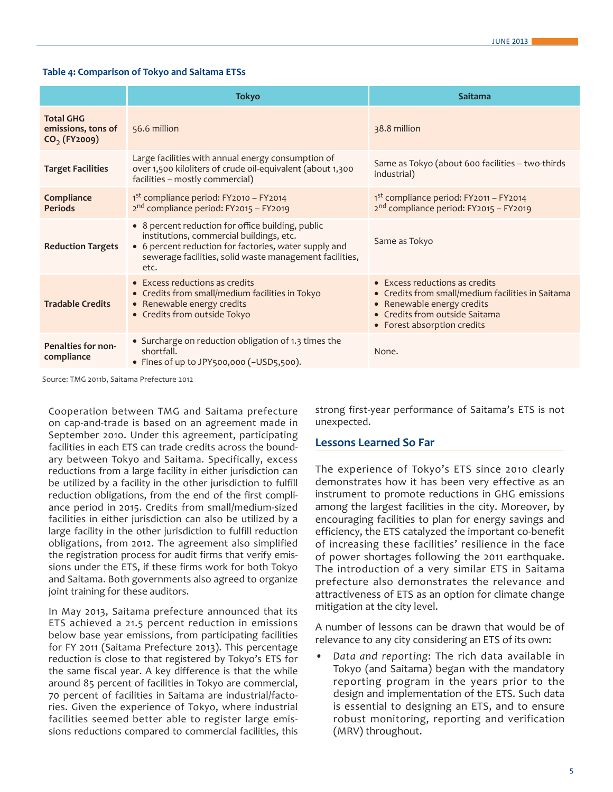#### **Table 4: Comparison of Tokyo and Saitama ETSs**

|                                                          | <b>Tokyo</b>                                                                                                                                                                                                              | Saitama                                                                                                                                                                                    |
|----------------------------------------------------------|---------------------------------------------------------------------------------------------------------------------------------------------------------------------------------------------------------------------------|--------------------------------------------------------------------------------------------------------------------------------------------------------------------------------------------|
| <b>Total GHG</b><br>emissions, tons of<br>$CO2$ (FY2009) | 56.6 million                                                                                                                                                                                                              | 38.8 million                                                                                                                                                                               |
| <b>Target Facilities</b>                                 | Large facilities with annual energy consumption of<br>over 1,500 kiloliters of crude oil-equivalent (about 1,300<br>facilities - mostly commercial)                                                                       | Same as Tokyo (about 600 facilities - two-thirds<br>industrial)                                                                                                                            |
| Compliance<br><b>Periods</b>                             | $1st$ compliance period: FY2010 – FY2014<br>$2nd$ compliance period: FY2015 – FY2019                                                                                                                                      | 1 <sup>st</sup> compliance period: FY2011 - FY2014<br>2 <sup>nd</sup> compliance period: FY2015 - FY2019                                                                                   |
| <b>Reduction Targets</b>                                 | • 8 percent reduction for office building, public<br>institutions, commercial buildings, etc.<br>• 6 percent reduction for factories, water supply and<br>sewerage facilities, solid waste management facilities,<br>etc. | Same as Tokyo                                                                                                                                                                              |
| <b>Tradable Credits</b>                                  | • Excess reductions as credits<br>• Credits from small/medium facilities in Tokyo<br>• Renewable energy credits<br>• Credits from outside Tokyo                                                                           | $\bullet$ Excess reductions as credits<br>• Credits from small/medium facilities in Saitama<br>• Renewable energy credits<br>• Credits from outside Saitama<br>• Forest absorption credits |
| Penalties for non-<br>compliance                         | • Surcharge on reduction obligation of 1.3 times the<br>shortfall.<br>• Fines of up to JPY500,000 (~USD5,500).                                                                                                            | None.                                                                                                                                                                                      |

Source: TMG 2011b, Saitama Prefecture 2012

Cooperation between TMG and Saitama prefecture on cap-and-trade is based on an agreement made in September 2010. Under this agreement, participating facilities in each ETS can trade credits across the boundary between Tokyo and Saitama. Specifically, excess reductions from a large facility in either jurisdiction can be utilized by a facility in the other jurisdiction to fulfill reduction obligations, from the end of the first compliance period in 2015. Credits from small/medium-sized facilities in either jurisdiction can also be utilized by a large facility in the other jurisdiction to fulfill reduction obligations, from 2012. The agreement also simplified the registration process for audit firms that verify emissions under the ETS, if these firms work for both Tokyo and Saitama. Both governments also agreed to organize joint training for these auditors.

In May 2013, Saitama prefecture announced that its ETS achieved a 21.5 percent reduction in emissions below base year emissions, from participating facilities for FY 2011 (Saitama Prefecture 2013). This percentage reduction is close to that registered by Tokyo's ETS for the same fiscal year. A key difference is that the while around 85 percent of facilities in Tokyo are commercial, 70 percent of facilities in Saitama are industrial/factories. Given the experience of Tokyo, where industrial facilities seemed better able to register large emissions reductions compared to commercial facilities, this

strong first-year performance of Saitama's ETS is not unexpected.

#### **Lessons Learned So Far**

The experience of Tokyo's ETS since 2010 clearly demonstrates how it has been very effective as an instrument to promote reductions in GHG emissions among the largest facilities in the city. Moreover, by encouraging facilities to plan for energy savings and efficiency, the ETS catalyzed the important co-benefit of increasing these facilities' resilience in the face of power shortages following the 2011 earthquake. The introduction of a very similar ETS in Saitama prefecture also demonstrates the relevance and attractiveness of ETS as an option for climate change mitigation at the city level.

A number of lessons can be drawn that would be of relevance to any city considering an ETS of its own:

*• Data and reporting*: The rich data available in Tokyo (and Saitama) began with the mandatory reporting program in the years prior to the design and implementation of the ETS. Such data is essential to designing an ETS, and to ensure robust monitoring, reporting and verification (MRV) throughout.